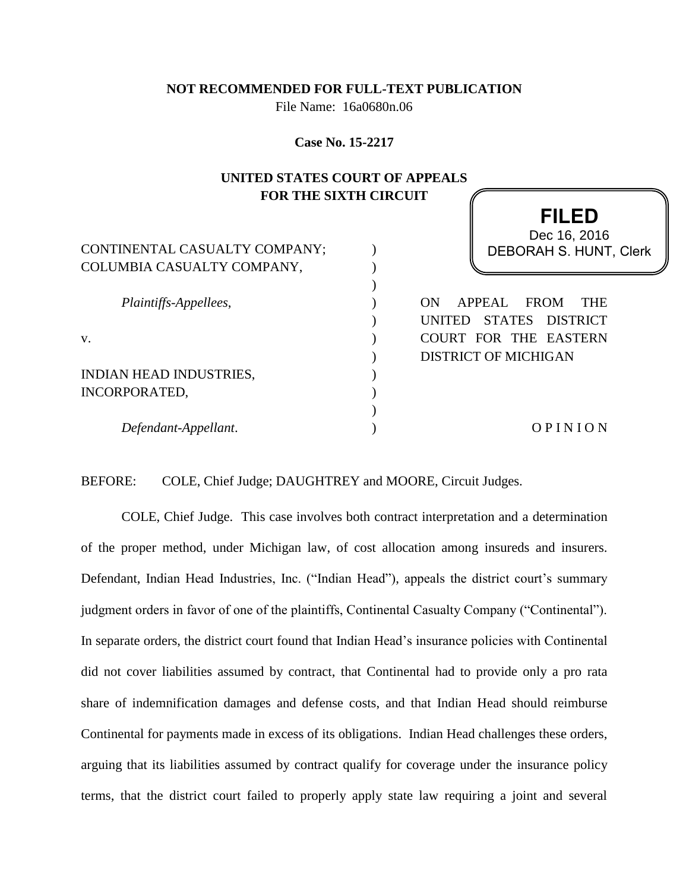#### **NOT RECOMMENDED FOR FULL-TEXT PUBLICATION**

File Name: 16a0680n.06

**Case No. 15-2217**

# **UNITED STATES COURT OF APPEALS FOR THE SIXTH CIRCUIT**

| CONTINENTAL CASUALTY COMPANY; | Dec 16, 2016<br>DEBORAH S. HUNT, Clerk    |
|-------------------------------|-------------------------------------------|
| COLUMBIA CASUALTY COMPANY,    |                                           |
| Plaintiffs-Appellees,         | APPEAL<br><b>FROM</b><br>ON<br><b>THE</b> |
|                               | STATES DISTRICT<br><b>UNITED</b>          |
| V.                            | COURT FOR THE EASTERN                     |
|                               | <b>DISTRICT OF MICHIGAN</b>               |
| INDIAN HEAD INDUSTRIES,       |                                           |
| <b>INCORPORATED,</b>          |                                           |
|                               |                                           |
| Defendant-Appellant.          | OPINION                                   |

**FILED**

BEFORE: COLE, Chief Judge; DAUGHTREY and MOORE, Circuit Judges.

COLE, Chief Judge. This case involves both contract interpretation and a determination of the proper method, under Michigan law, of cost allocation among insureds and insurers. Defendant, Indian Head Industries, Inc. ("Indian Head"), appeals the district court's summary judgment orders in favor of one of the plaintiffs, Continental Casualty Company ("Continental"). In separate orders, the district court found that Indian Head's insurance policies with Continental did not cover liabilities assumed by contract, that Continental had to provide only a pro rata share of indemnification damages and defense costs, and that Indian Head should reimburse Continental for payments made in excess of its obligations. Indian Head challenges these orders, arguing that its liabilities assumed by contract qualify for coverage under the insurance policy terms, that the district court failed to properly apply state law requiring a joint and several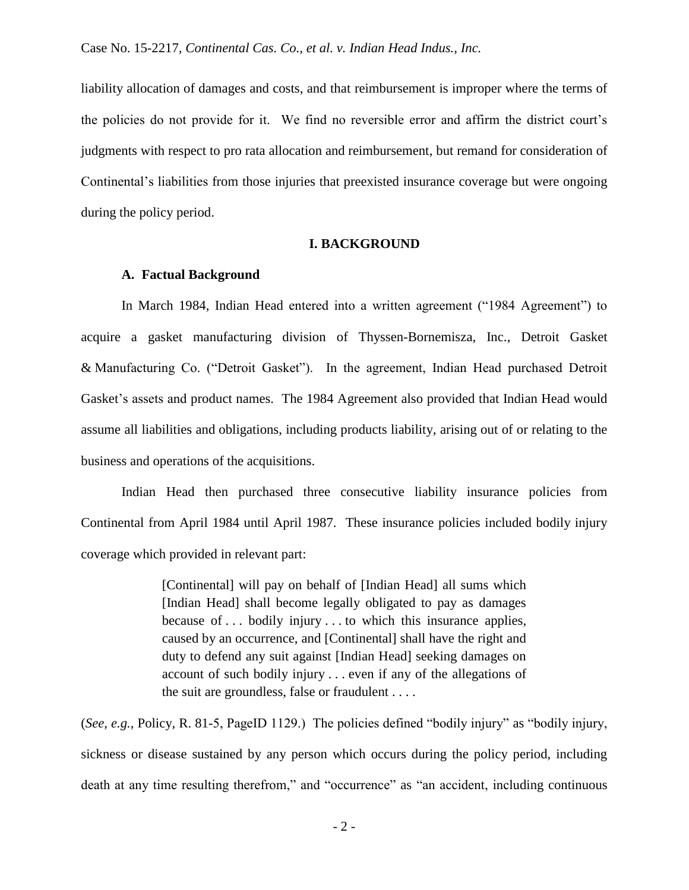liability allocation of damages and costs, and that reimbursement is improper where the terms of the policies do not provide for it. We find no reversible error and affirm the district court's judgments with respect to pro rata allocation and reimbursement, but remand for consideration of Continental's liabilities from those injuries that preexisted insurance coverage but were ongoing during the policy period.

#### **I. BACKGROUND**

### **A. Factual Background**

In March 1984, Indian Head entered into a written agreement ("1984 Agreement") to acquire a gasket manufacturing division of Thyssen-Bornemisza, Inc., Detroit Gasket & Manufacturing Co. ("Detroit Gasket"). In the agreement, Indian Head purchased Detroit Gasket's assets and product names. The 1984 Agreement also provided that Indian Head would assume all liabilities and obligations, including products liability, arising out of or relating to the business and operations of the acquisitions.

Indian Head then purchased three consecutive liability insurance policies from Continental from April 1984 until April 1987. These insurance policies included bodily injury coverage which provided in relevant part:

> [Continental] will pay on behalf of [Indian Head] all sums which [Indian Head] shall become legally obligated to pay as damages because of . . . bodily injury . . . to which this insurance applies, caused by an occurrence, and [Continental] shall have the right and duty to defend any suit against [Indian Head] seeking damages on account of such bodily injury . . . even if any of the allegations of the suit are groundless, false or fraudulent . . . .

(*See, e.g.*, Policy, R. 81-5, PageID 1129.) The policies defined "bodily injury" as "bodily injury, sickness or disease sustained by any person which occurs during the policy period, including death at any time resulting therefrom," and "occurrence" as "an accident, including continuous

- 2 -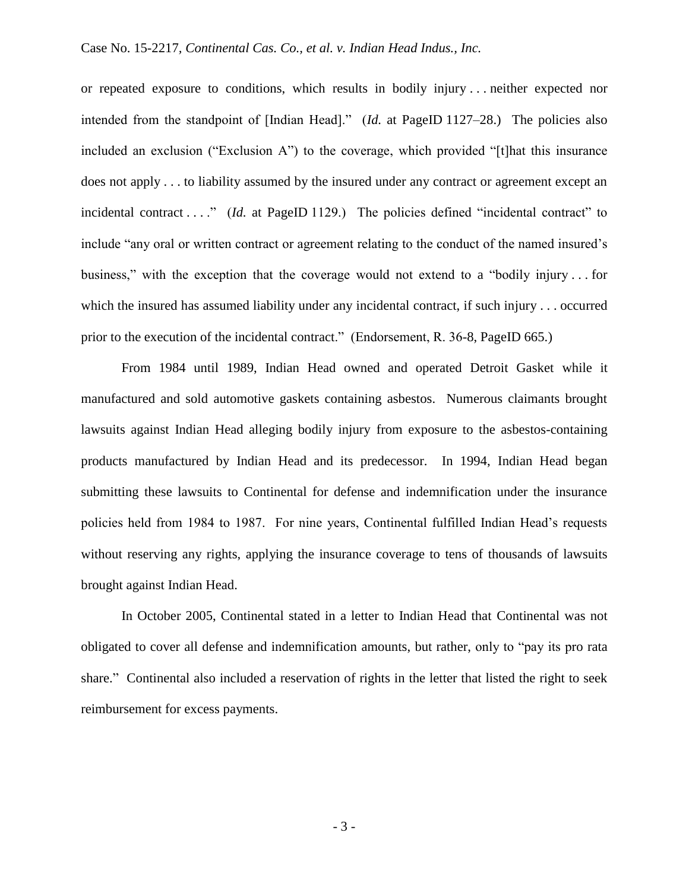or repeated exposure to conditions, which results in bodily injury . . . neither expected nor intended from the standpoint of [Indian Head]." (*Id.* at PageID 1127–28.) The policies also included an exclusion ("Exclusion A") to the coverage, which provided "[t]hat this insurance does not apply . . . to liability assumed by the insured under any contract or agreement except an incidental contract . . . " (*Id.* at PageID 1129.) The policies defined "incidental contract" to include "any oral or written contract or agreement relating to the conduct of the named insured's business," with the exception that the coverage would not extend to a "bodily injury . . . for which the insured has assumed liability under any incidental contract, if such injury . . . occurred prior to the execution of the incidental contract." (Endorsement, R. 36-8, PageID 665.)

From 1984 until 1989, Indian Head owned and operated Detroit Gasket while it manufactured and sold automotive gaskets containing asbestos. Numerous claimants brought lawsuits against Indian Head alleging bodily injury from exposure to the asbestos-containing products manufactured by Indian Head and its predecessor. In 1994, Indian Head began submitting these lawsuits to Continental for defense and indemnification under the insurance policies held from 1984 to 1987. For nine years, Continental fulfilled Indian Head's requests without reserving any rights, applying the insurance coverage to tens of thousands of lawsuits brought against Indian Head.

In October 2005, Continental stated in a letter to Indian Head that Continental was not obligated to cover all defense and indemnification amounts, but rather, only to "pay its pro rata share." Continental also included a reservation of rights in the letter that listed the right to seek reimbursement for excess payments.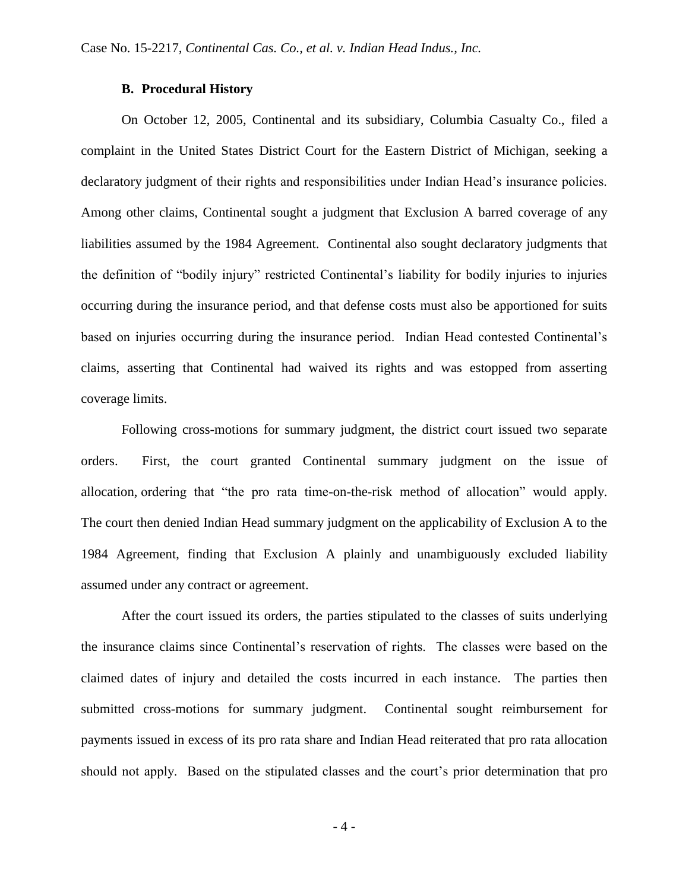## **B. Procedural History**

On October 12, 2005, Continental and its subsidiary, Columbia Casualty Co., filed a complaint in the United States District Court for the Eastern District of Michigan, seeking a declaratory judgment of their rights and responsibilities under Indian Head's insurance policies. Among other claims, Continental sought a judgment that Exclusion A barred coverage of any liabilities assumed by the 1984 Agreement. Continental also sought declaratory judgments that the definition of "bodily injury" restricted Continental's liability for bodily injuries to injuries occurring during the insurance period, and that defense costs must also be apportioned for suits based on injuries occurring during the insurance period. Indian Head contested Continental's claims, asserting that Continental had waived its rights and was estopped from asserting coverage limits.

Following cross-motions for summary judgment, the district court issued two separate orders. First, the court granted Continental summary judgment on the issue of allocation, ordering that "the pro rata time-on-the-risk method of allocation" would apply. The court then denied Indian Head summary judgment on the applicability of Exclusion A to the 1984 Agreement, finding that Exclusion A plainly and unambiguously excluded liability assumed under any contract or agreement.

After the court issued its orders, the parties stipulated to the classes of suits underlying the insurance claims since Continental's reservation of rights. The classes were based on the claimed dates of injury and detailed the costs incurred in each instance. The parties then submitted cross-motions for summary judgment. Continental sought reimbursement for payments issued in excess of its pro rata share and Indian Head reiterated that pro rata allocation should not apply. Based on the stipulated classes and the court's prior determination that pro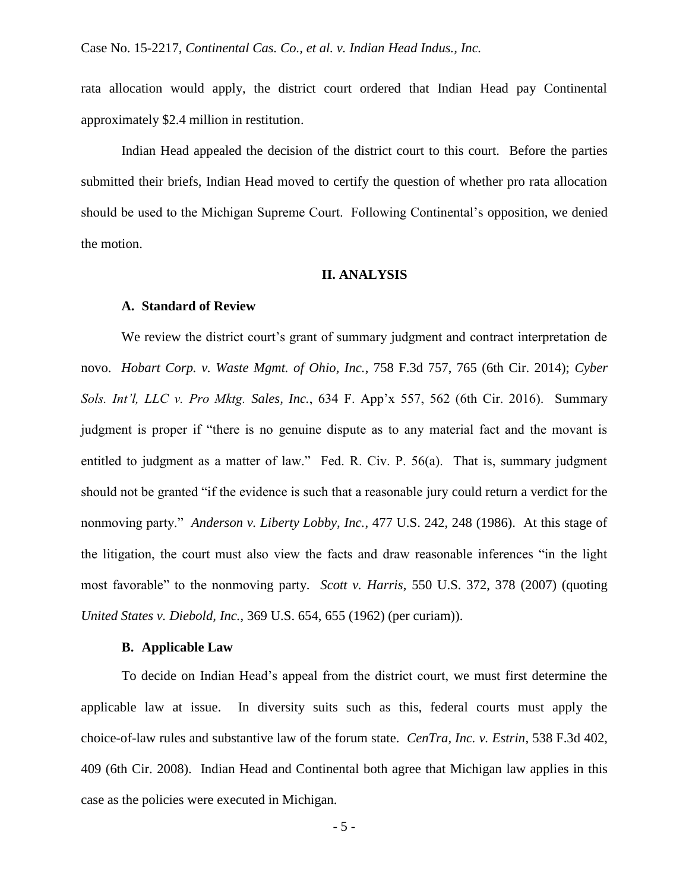rata allocation would apply, the district court ordered that Indian Head pay Continental approximately \$2.4 million in restitution.

Indian Head appealed the decision of the district court to this court. Before the parties submitted their briefs, Indian Head moved to certify the question of whether pro rata allocation should be used to the Michigan Supreme Court. Following Continental's opposition, we denied the motion.

#### **II. ANALYSIS**

#### **A. Standard of Review**

We review the district court's grant of summary judgment and contract interpretation de novo. *Hobart Corp. v. Waste Mgmt. of Ohio, Inc.*, 758 F.3d 757, 765 (6th Cir. 2014); *Cyber Sols. Int'l, LLC v. Pro Mktg. Sales, Inc.*, 634 F. App'x 557, 562 (6th Cir. 2016). Summary judgment is proper if "there is no genuine dispute as to any material fact and the movant is entitled to judgment as a matter of law." Fed. R. Civ. P. 56(a). That is, summary judgment should not be granted "if the evidence is such that a reasonable jury could return a verdict for the nonmoving party." *Anderson v. Liberty Lobby, Inc.*, 477 U.S. 242, 248 (1986). At this stage of the litigation, the court must also view the facts and draw reasonable inferences "in the light most favorable" to the nonmoving party. *Scott v. Harris*, 550 U.S. 372, 378 (2007) (quoting *United States v. Diebold, Inc.*, 369 U.S. 654, 655 (1962) (per curiam)).

### **B. Applicable Law**

To decide on Indian Head's appeal from the district court, we must first determine the applicable law at issue. In diversity suits such as this, federal courts must apply the choice-of-law rules and substantive law of the forum state. *CenTra, Inc. v. Estrin*, 538 F.3d 402, 409 (6th Cir. 2008). Indian Head and Continental both agree that Michigan law applies in this case as the policies were executed in Michigan.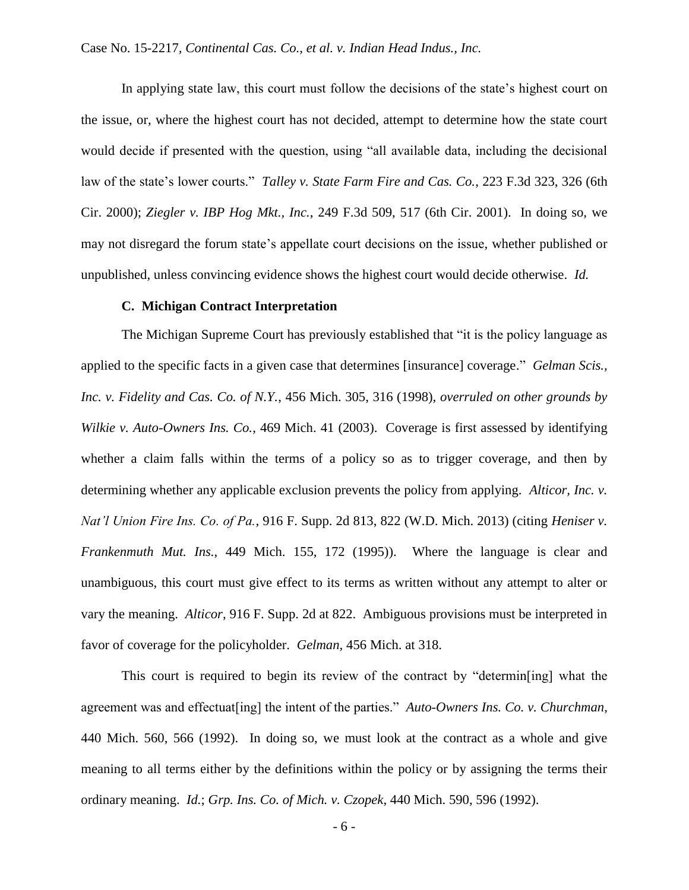In applying state law, this court must follow the decisions of the state's highest court on the issue, or, where the highest court has not decided, attempt to determine how the state court would decide if presented with the question, using "all available data, including the decisional law of the state's lower courts." *Talley v. State Farm Fire and Cas. Co.*, 223 F.3d 323, 326 (6th Cir. 2000); *Ziegler v. IBP Hog Mkt., Inc.*, 249 F.3d 509, 517 (6th Cir. 2001). In doing so, we may not disregard the forum state's appellate court decisions on the issue, whether published or unpublished, unless convincing evidence shows the highest court would decide otherwise. *Id.*

#### **C. Michigan Contract Interpretation**

The Michigan Supreme Court has previously established that "it is the policy language as applied to the specific facts in a given case that determines [insurance] coverage." *Gelman Scis., Inc. v. Fidelity and Cas. Co. of N.Y.*, 456 Mich. 305, 316 (1998), *overruled on other grounds by Wilkie v. Auto-Owners Ins. Co.*, 469 Mich. 41 (2003). Coverage is first assessed by identifying whether a claim falls within the terms of a policy so as to trigger coverage, and then by determining whether any applicable exclusion prevents the policy from applying. *Alticor, Inc. v. Nat'l Union Fire Ins. Co. of Pa.*, 916 F. Supp. 2d 813, 822 (W.D. Mich. 2013) (citing *Heniser v. Frankenmuth Mut. Ins.*, 449 Mich. 155, 172 (1995)). Where the language is clear and unambiguous, this court must give effect to its terms as written without any attempt to alter or vary the meaning. *Alticor*, 916 F. Supp. 2d at 822. Ambiguous provisions must be interpreted in favor of coverage for the policyholder. *Gelman*, 456 Mich. at 318.

This court is required to begin its review of the contract by "determin[ing] what the agreement was and effectuat[ing] the intent of the parties." *Auto-Owners Ins. Co. v. Churchman*, 440 Mich. 560, 566 (1992). In doing so, we must look at the contract as a whole and give meaning to all terms either by the definitions within the policy or by assigning the terms their ordinary meaning. *Id.*; *Grp. Ins. Co. of Mich. v. Czopek*, 440 Mich. 590, 596 (1992).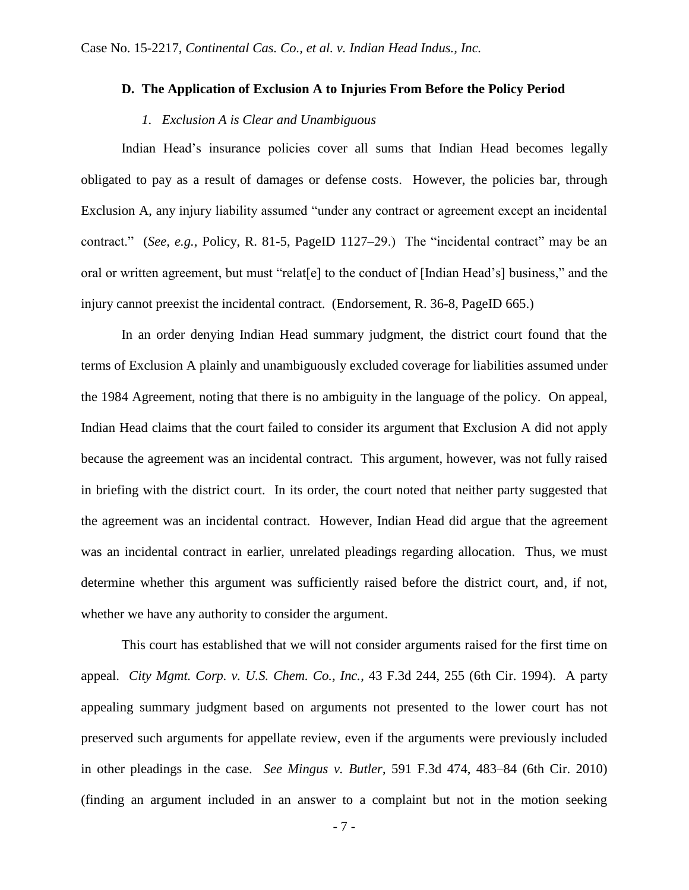## **D. The Application of Exclusion A to Injuries From Before the Policy Period**

## *1. Exclusion A is Clear and Unambiguous*

Indian Head's insurance policies cover all sums that Indian Head becomes legally obligated to pay as a result of damages or defense costs. However, the policies bar, through Exclusion A, any injury liability assumed "under any contract or agreement except an incidental contract." (*See, e.g.*, Policy, R. 81-5, PageID 1127–29.) The "incidental contract" may be an oral or written agreement, but must "relat[e] to the conduct of [Indian Head's] business," and the injury cannot preexist the incidental contract. (Endorsement, R. 36-8, PageID 665.)

In an order denying Indian Head summary judgment, the district court found that the terms of Exclusion A plainly and unambiguously excluded coverage for liabilities assumed under the 1984 Agreement, noting that there is no ambiguity in the language of the policy. On appeal, Indian Head claims that the court failed to consider its argument that Exclusion A did not apply because the agreement was an incidental contract. This argument, however, was not fully raised in briefing with the district court. In its order, the court noted that neither party suggested that the agreement was an incidental contract. However, Indian Head did argue that the agreement was an incidental contract in earlier, unrelated pleadings regarding allocation. Thus, we must determine whether this argument was sufficiently raised before the district court, and, if not, whether we have any authority to consider the argument.

This court has established that we will not consider arguments raised for the first time on appeal. *City Mgmt. Corp. v. U.S. Chem. Co., Inc.*, 43 F.3d 244, 255 (6th Cir. 1994). A party appealing summary judgment based on arguments not presented to the lower court has not preserved such arguments for appellate review, even if the arguments were previously included in other pleadings in the case. *See Mingus v. Butler*, 591 F.3d 474, 483–84 (6th Cir. 2010) (finding an argument included in an answer to a complaint but not in the motion seeking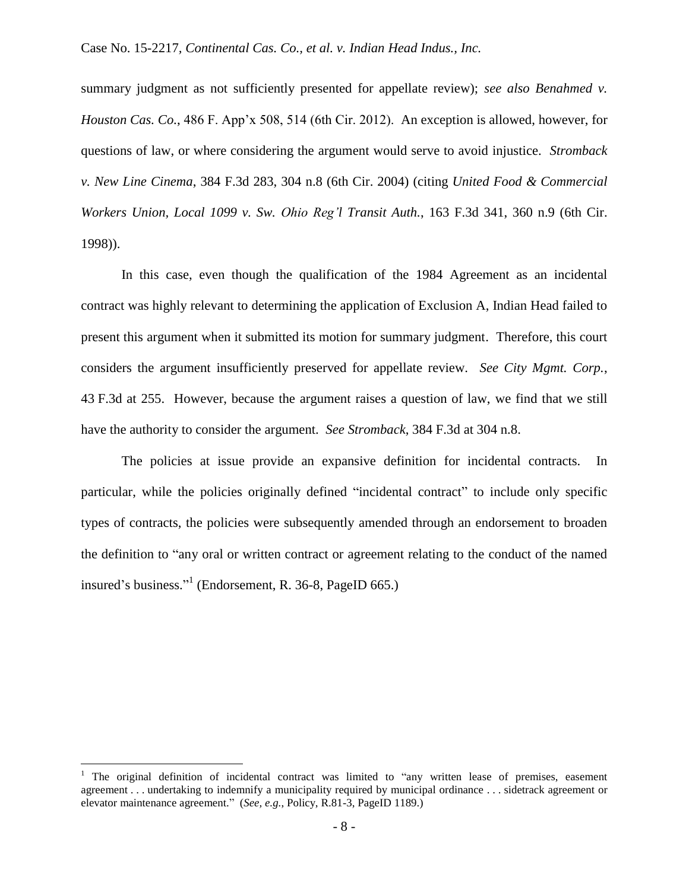summary judgment as not sufficiently presented for appellate review); *see also Benahmed v. Houston Cas. Co.*, 486 F. App'x 508, 514 (6th Cir. 2012).An exception is allowed, however, for questions of law, or where considering the argument would serve to avoid injustice. *Stromback v. New Line Cinema*, 384 F.3d 283, 304 n.8 (6th Cir. 2004) (citing *United Food & Commercial Workers Union, Local 1099 v. Sw. Ohio Reg'l Transit Auth.*, 163 F.3d 341, 360 n.9 (6th Cir. 1998)).

In this case, even though the qualification of the 1984 Agreement as an incidental contract was highly relevant to determining the application of Exclusion A, Indian Head failed to present this argument when it submitted its motion for summary judgment. Therefore, this court considers the argument insufficiently preserved for appellate review. *See City Mgmt. Corp.*, 43 F.3d at 255. However, because the argument raises a question of law, we find that we still have the authority to consider the argument. *See Stromback*, 384 F.3d at 304 n.8.

The policies at issue provide an expansive definition for incidental contracts. In particular, while the policies originally defined "incidental contract" to include only specific types of contracts, the policies were subsequently amended through an endorsement to broaden the definition to "any oral or written contract or agreement relating to the conduct of the named insured's business." 1 (Endorsement, R. 36-8, PageID 665.)

 $\overline{a}$ 

 $1$  The original definition of incidental contract was limited to "any written lease of premises, easement agreement . . . undertaking to indemnify a municipality required by municipal ordinance . . . sidetrack agreement or elevator maintenance agreement." (*See, e.g.*, Policy, R.81-3, PageID 1189.)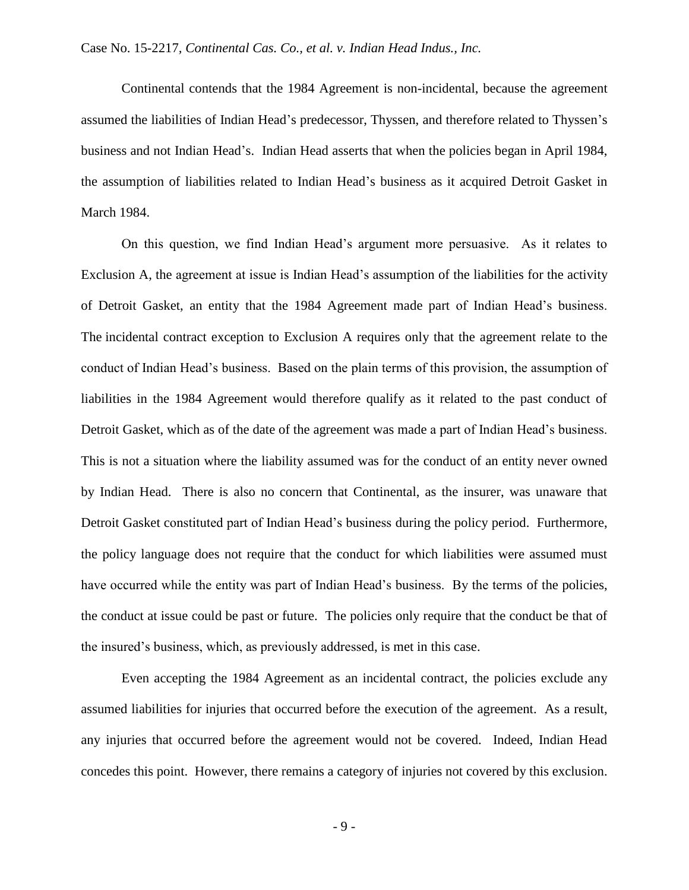Continental contends that the 1984 Agreement is non-incidental, because the agreement assumed the liabilities of Indian Head's predecessor, Thyssen, and therefore related to Thyssen's business and not Indian Head's. Indian Head asserts that when the policies began in April 1984, the assumption of liabilities related to Indian Head's business as it acquired Detroit Gasket in March 1984.

On this question, we find Indian Head's argument more persuasive. As it relates to Exclusion A, the agreement at issue is Indian Head's assumption of the liabilities for the activity of Detroit Gasket, an entity that the 1984 Agreement made part of Indian Head's business. The incidental contract exception to Exclusion A requires only that the agreement relate to the conduct of Indian Head's business. Based on the plain terms of this provision, the assumption of liabilities in the 1984 Agreement would therefore qualify as it related to the past conduct of Detroit Gasket, which as of the date of the agreement was made a part of Indian Head's business. This is not a situation where the liability assumed was for the conduct of an entity never owned by Indian Head. There is also no concern that Continental, as the insurer, was unaware that Detroit Gasket constituted part of Indian Head's business during the policy period. Furthermore, the policy language does not require that the conduct for which liabilities were assumed must have occurred while the entity was part of Indian Head's business. By the terms of the policies, the conduct at issue could be past or future. The policies only require that the conduct be that of the insured's business, which, as previously addressed, is met in this case.

Even accepting the 1984 Agreement as an incidental contract, the policies exclude any assumed liabilities for injuries that occurred before the execution of the agreement. As a result, any injuries that occurred before the agreement would not be covered. Indeed, Indian Head concedes this point. However, there remains a category of injuries not covered by this exclusion.

- 9 -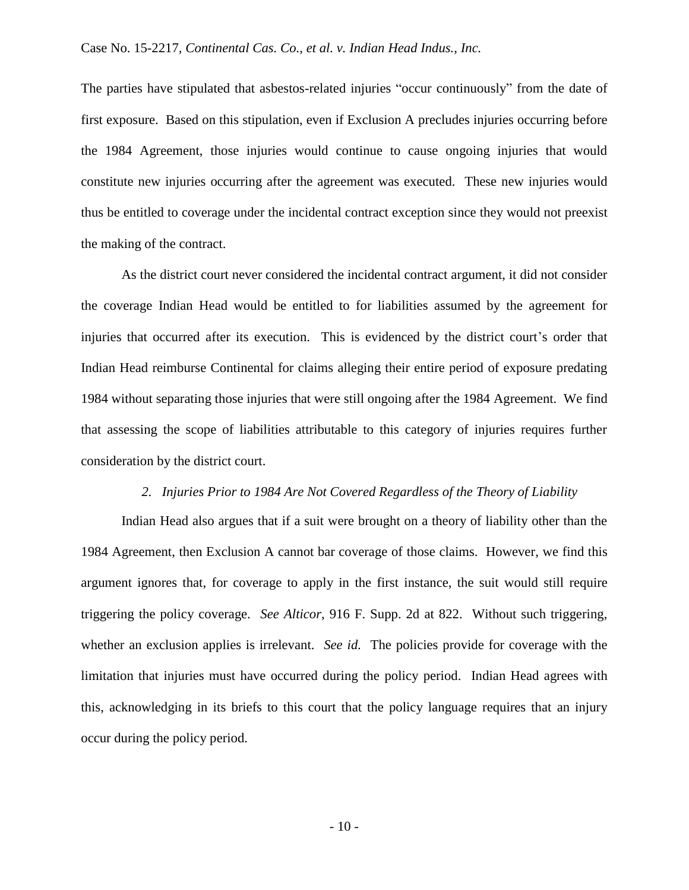The parties have stipulated that asbestos-related injuries "occur continuously" from the date of first exposure. Based on this stipulation, even if Exclusion A precludes injuries occurring before the 1984 Agreement, those injuries would continue to cause ongoing injuries that would constitute new injuries occurring after the agreement was executed. These new injuries would thus be entitled to coverage under the incidental contract exception since they would not preexist the making of the contract.

As the district court never considered the incidental contract argument, it did not consider the coverage Indian Head would be entitled to for liabilities assumed by the agreement for injuries that occurred after its execution. This is evidenced by the district court's order that Indian Head reimburse Continental for claims alleging their entire period of exposure predating 1984 without separating those injuries that were still ongoing after the 1984 Agreement. We find that assessing the scope of liabilities attributable to this category of injuries requires further consideration by the district court.

## *2. Injuries Prior to 1984 Are Not Covered Regardless of the Theory of Liability*

Indian Head also argues that if a suit were brought on a theory of liability other than the 1984 Agreement, then Exclusion A cannot bar coverage of those claims. However, we find this argument ignores that, for coverage to apply in the first instance, the suit would still require triggering the policy coverage. *See Alticor*, 916 F. Supp. 2d at 822. Without such triggering, whether an exclusion applies is irrelevant. *See id.* The policies provide for coverage with the limitation that injuries must have occurred during the policy period. Indian Head agrees with this, acknowledging in its briefs to this court that the policy language requires that an injury occur during the policy period.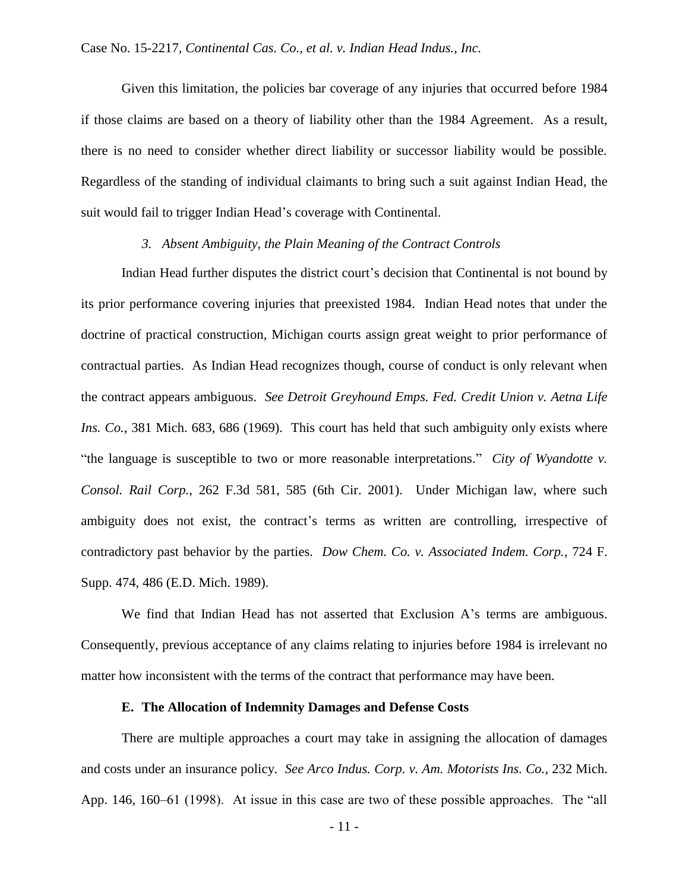Given this limitation, the policies bar coverage of any injuries that occurred before 1984 if those claims are based on a theory of liability other than the 1984 Agreement. As a result, there is no need to consider whether direct liability or successor liability would be possible. Regardless of the standing of individual claimants to bring such a suit against Indian Head, the suit would fail to trigger Indian Head's coverage with Continental.

### *3. Absent Ambiguity, the Plain Meaning of the Contract Controls*

Indian Head further disputes the district court's decision that Continental is not bound by its prior performance covering injuries that preexisted 1984. Indian Head notes that under the doctrine of practical construction, Michigan courts assign great weight to prior performance of contractual parties. As Indian Head recognizes though, course of conduct is only relevant when the contract appears ambiguous. *See Detroit Greyhound Emps. Fed. Credit Union v. Aetna Life Ins. Co.*, 381 Mich. 683, 686 (1969). This court has held that such ambiguity only exists where "the language is susceptible to two or more reasonable interpretations." *City of Wyandotte v. Consol. Rail Corp.*, 262 F.3d 581, 585 (6th Cir. 2001). Under Michigan law, where such ambiguity does not exist, the contract's terms as written are controlling, irrespective of contradictory past behavior by the parties. *Dow Chem. Co. v. Associated Indem. Corp.*, 724 F. Supp. 474, 486 (E.D. Mich. 1989).

We find that Indian Head has not asserted that Exclusion A's terms are ambiguous. Consequently, previous acceptance of any claims relating to injuries before 1984 is irrelevant no matter how inconsistent with the terms of the contract that performance may have been.

### **E. The Allocation of Indemnity Damages and Defense Costs**

There are multiple approaches a court may take in assigning the allocation of damages and costs under an insurance policy. *See Arco Indus. Corp. v. Am. Motorists Ins. Co.*, 232 Mich. App. 146, 160–61 (1998). At issue in this case are two of these possible approaches. The "all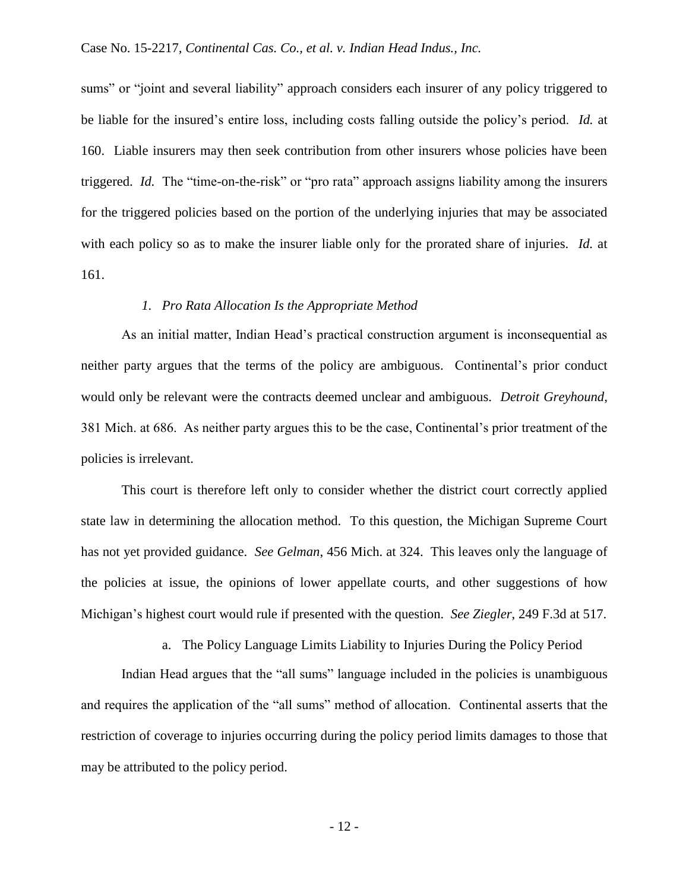sums" or "joint and several liability" approach considers each insurer of any policy triggered to be liable for the insured's entire loss, including costs falling outside the policy's period. *Id.* at 160. Liable insurers may then seek contribution from other insurers whose policies have been triggered. *Id.* The "time-on-the-risk" or "pro rata" approach assigns liability among the insurers for the triggered policies based on the portion of the underlying injuries that may be associated with each policy so as to make the insurer liable only for the prorated share of injuries. *Id.* at 161.

## *1. Pro Rata Allocation Is the Appropriate Method*

As an initial matter, Indian Head's practical construction argument is inconsequential as neither party argues that the terms of the policy are ambiguous. Continental's prior conduct would only be relevant were the contracts deemed unclear and ambiguous. *Detroit Greyhound*, 381 Mich. at 686. As neither party argues this to be the case, Continental's prior treatment of the policies is irrelevant.

This court is therefore left only to consider whether the district court correctly applied state law in determining the allocation method. To this question, the Michigan Supreme Court has not yet provided guidance. *See Gelman*, 456 Mich. at 324. This leaves only the language of the policies at issue, the opinions of lower appellate courts, and other suggestions of how Michigan's highest court would rule if presented with the question. *See Ziegler*, 249 F.3d at 517.

a. The Policy Language Limits Liability to Injuries During the Policy Period

Indian Head argues that the "all sums" language included in the policies is unambiguous and requires the application of the "all sums" method of allocation. Continental asserts that the restriction of coverage to injuries occurring during the policy period limits damages to those that may be attributed to the policy period.

- 12 -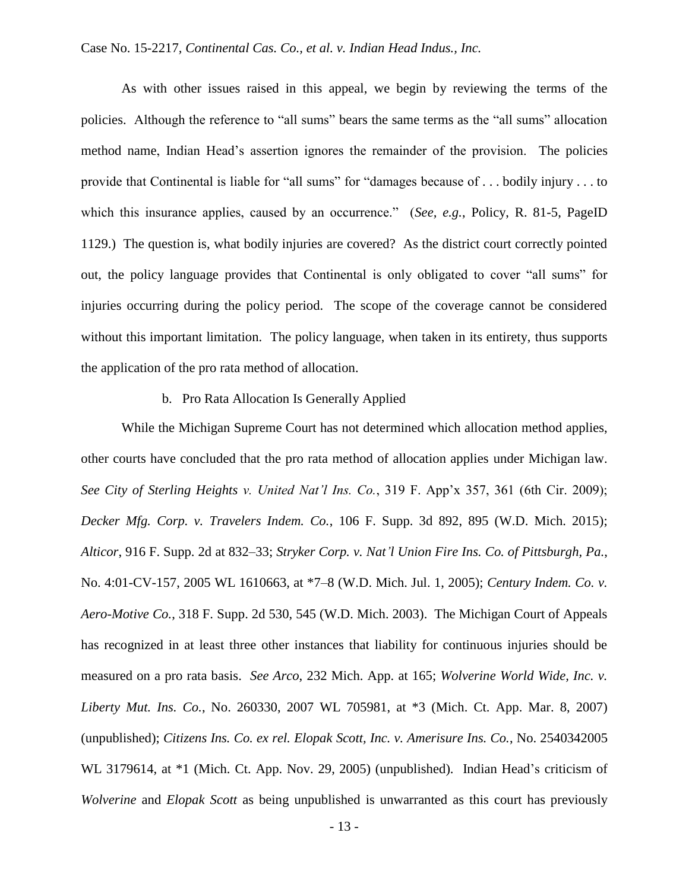As with other issues raised in this appeal, we begin by reviewing the terms of the policies. Although the reference to "all sums" bears the same terms as the "all sums" allocation method name, Indian Head's assertion ignores the remainder of the provision. The policies provide that Continental is liable for "all sums" for "damages because of . . . bodily injury . . . to which this insurance applies, caused by an occurrence." (*See, e.g.*, Policy, R. 81-5, PageID 1129.) The question is, what bodily injuries are covered? As the district court correctly pointed out, the policy language provides that Continental is only obligated to cover "all sums" for injuries occurring during the policy period. The scope of the coverage cannot be considered without this important limitation. The policy language, when taken in its entirety, thus supports the application of the pro rata method of allocation.

## b. Pro Rata Allocation Is Generally Applied

While the Michigan Supreme Court has not determined which allocation method applies, other courts have concluded that the pro rata method of allocation applies under Michigan law. *See City of Sterling Heights v. United Nat'l Ins. Co.*, 319 F. App'x 357, 361 (6th Cir. 2009); *Decker Mfg. Corp. v. Travelers Indem. Co.*, 106 F. Supp. 3d 892, 895 (W.D. Mich. 2015); *Alticor*, 916 F. Supp. 2d at 832–33; *Stryker Corp. v. Nat'l Union Fire Ins. Co. of Pittsburgh, Pa.*, No. 4:01-CV-157, 2005 WL 1610663, at \*7–8 (W.D. Mich. Jul. 1, 2005); *Century Indem. Co. v. Aero-Motive Co.*, 318 F. Supp. 2d 530, 545 (W.D. Mich. 2003). The Michigan Court of Appeals has recognized in at least three other instances that liability for continuous injuries should be measured on a pro rata basis. *See Arco*, 232 Mich. App. at 165; *Wolverine World Wide, Inc. v. Liberty Mut. Ins. Co.*, No. 260330, 2007 WL 705981, at \*3 (Mich. Ct. App. Mar. 8, 2007) (unpublished); *Citizens Ins. Co. ex rel. Elopak Scott, Inc. v. Amerisure Ins. Co.*, No. 2540342005 WL 3179614, at \*1 (Mich. Ct. App. Nov. 29, 2005) (unpublished). Indian Head's criticism of *Wolverine* and *Elopak Scott* as being unpublished is unwarranted as this court has previously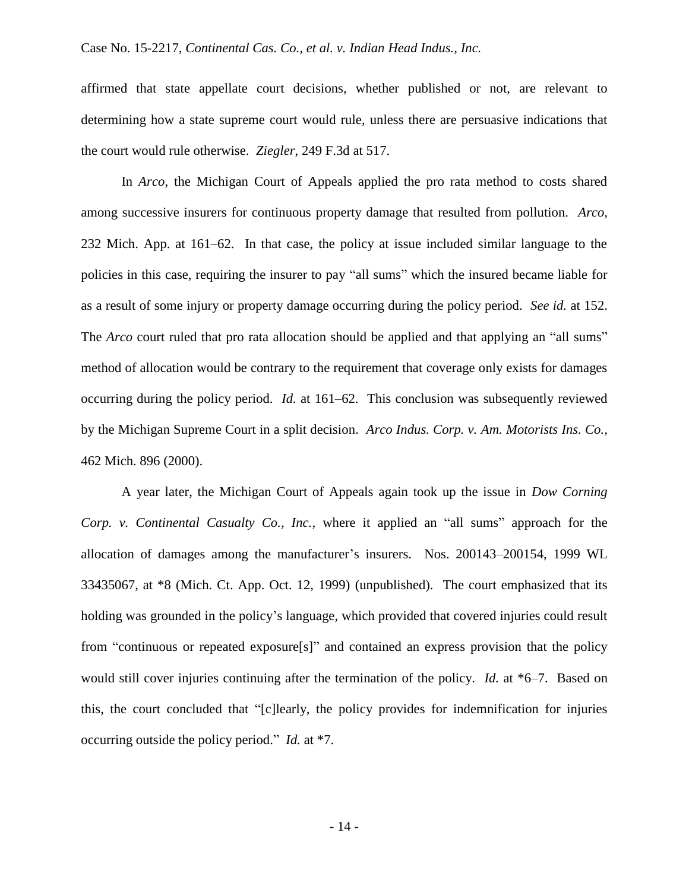affirmed that state appellate court decisions, whether published or not, are relevant to determining how a state supreme court would rule, unless there are persuasive indications that the court would rule otherwise. *Ziegler*, 249 F.3d at 517.

In *Arco*, the Michigan Court of Appeals applied the pro rata method to costs shared among successive insurers for continuous property damage that resulted from pollution. *Arco*, 232 Mich. App. at 161–62. In that case, the policy at issue included similar language to the policies in this case, requiring the insurer to pay "all sums" which the insured became liable for as a result of some injury or property damage occurring during the policy period. *See id.* at 152. The *Arco* court ruled that pro rata allocation should be applied and that applying an "all sums" method of allocation would be contrary to the requirement that coverage only exists for damages occurring during the policy period. *Id.* at 161–62. This conclusion was subsequently reviewed by the Michigan Supreme Court in a split decision. *Arco Indus. Corp. v. Am. Motorists Ins. Co.,* 462 Mich. 896 (2000).

A year later, the Michigan Court of Appeals again took up the issue in *Dow Corning Corp. v. Continental Casualty Co., Inc.*, where it applied an "all sums" approach for the allocation of damages among the manufacturer's insurers. Nos. 200143–200154, 1999 WL 33435067, at \*8 (Mich. Ct. App. Oct. 12, 1999) (unpublished). The court emphasized that its holding was grounded in the policy's language, which provided that covered injuries could result from "continuous or repeated exposure[s]" and contained an express provision that the policy would still cover injuries continuing after the termination of the policy. *Id.* at \*6–7. Based on this, the court concluded that "[c]learly, the policy provides for indemnification for injuries occurring outside the policy period." *Id.* at \*7.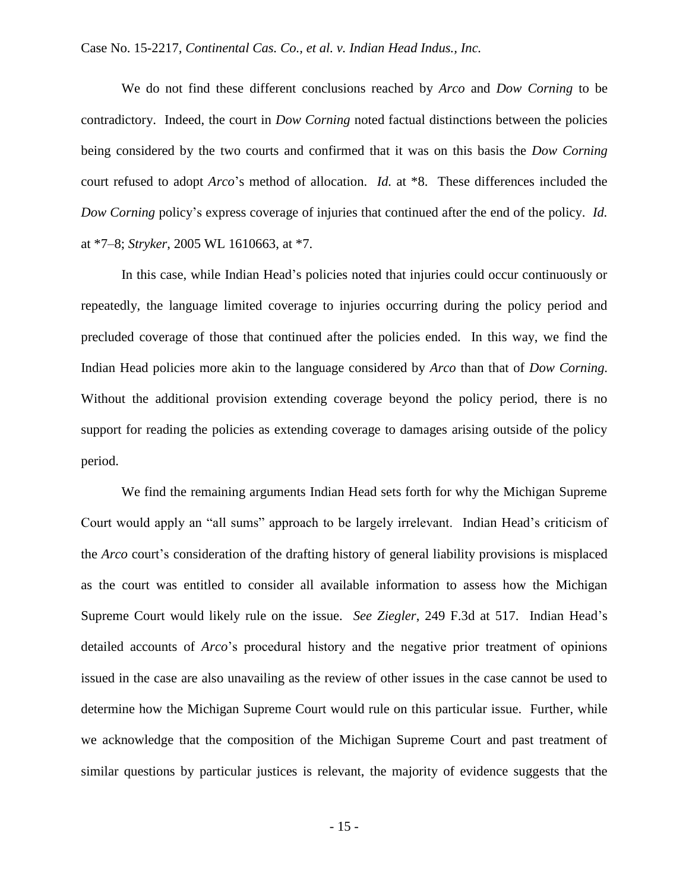We do not find these different conclusions reached by *Arco* and *Dow Corning* to be contradictory. Indeed, the court in *Dow Corning* noted factual distinctions between the policies being considered by the two courts and confirmed that it was on this basis the *Dow Corning*  court refused to adopt *Arco*'s method of allocation. *Id.* at \*8. These differences included the *Dow Corning* policy's express coverage of injuries that continued after the end of the policy. *Id.*  at \*7–8; *Stryker*, 2005 WL 1610663, at \*7.

In this case, while Indian Head's policies noted that injuries could occur continuously or repeatedly, the language limited coverage to injuries occurring during the policy period and precluded coverage of those that continued after the policies ended. In this way, we find the Indian Head policies more akin to the language considered by *Arco* than that of *Dow Corning*. Without the additional provision extending coverage beyond the policy period, there is no support for reading the policies as extending coverage to damages arising outside of the policy period.

We find the remaining arguments Indian Head sets forth for why the Michigan Supreme Court would apply an "all sums" approach to be largely irrelevant. Indian Head's criticism of the *Arco* court's consideration of the drafting history of general liability provisions is misplaced as the court was entitled to consider all available information to assess how the Michigan Supreme Court would likely rule on the issue. *See Ziegler*, 249 F.3d at 517. Indian Head's detailed accounts of *Arco*'s procedural history and the negative prior treatment of opinions issued in the case are also unavailing as the review of other issues in the case cannot be used to determine how the Michigan Supreme Court would rule on this particular issue. Further, while we acknowledge that the composition of the Michigan Supreme Court and past treatment of similar questions by particular justices is relevant, the majority of evidence suggests that the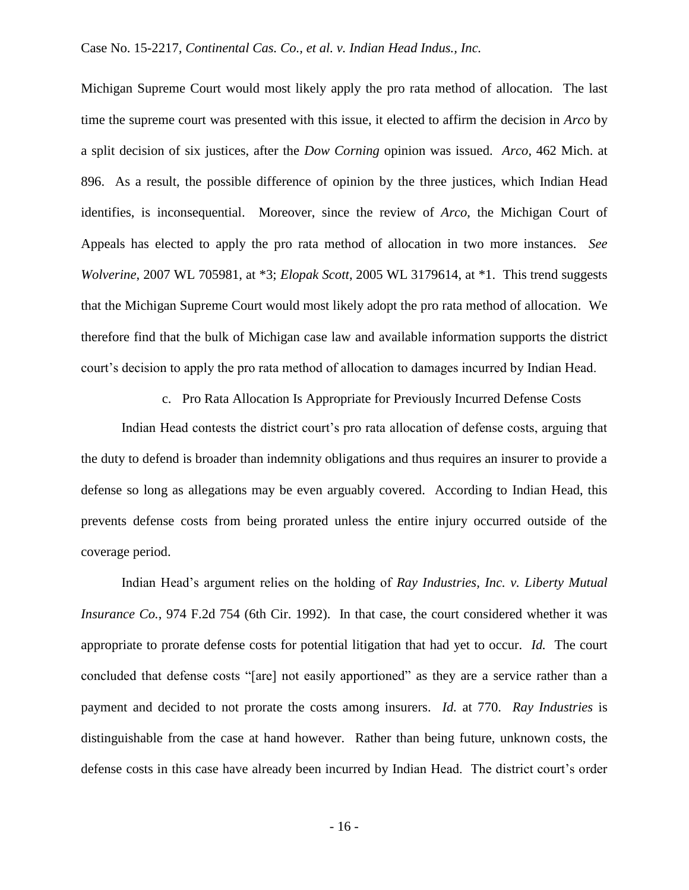Michigan Supreme Court would most likely apply the pro rata method of allocation. The last time the supreme court was presented with this issue, it elected to affirm the decision in *Arco* by a split decision of six justices, after the *Dow Corning* opinion was issued. *Arco*, 462 Mich. at 896. As a result, the possible difference of opinion by the three justices, which Indian Head identifies, is inconsequential. Moreover, since the review of *Arco*, the Michigan Court of Appeals has elected to apply the pro rata method of allocation in two more instances. *See Wolverine*, 2007 WL 705981, at \*3; *Elopak Scott*, 2005 WL 3179614, at \*1. This trend suggests that the Michigan Supreme Court would most likely adopt the pro rata method of allocation. We therefore find that the bulk of Michigan case law and available information supports the district court's decision to apply the pro rata method of allocation to damages incurred by Indian Head.

c. Pro Rata Allocation Is Appropriate for Previously Incurred Defense Costs

Indian Head contests the district court's pro rata allocation of defense costs, arguing that the duty to defend is broader than indemnity obligations and thus requires an insurer to provide a defense so long as allegations may be even arguably covered. According to Indian Head, this prevents defense costs from being prorated unless the entire injury occurred outside of the coverage period.

Indian Head's argument relies on the holding of *Ray Industries, Inc. v. Liberty Mutual Insurance Co.*, 974 F.2d 754 (6th Cir. 1992). In that case, the court considered whether it was appropriate to prorate defense costs for potential litigation that had yet to occur. *Id.* The court concluded that defense costs "[are] not easily apportioned" as they are a service rather than a payment and decided to not prorate the costs among insurers. *Id.* at 770. *Ray Industries* is distinguishable from the case at hand however. Rather than being future, unknown costs, the defense costs in this case have already been incurred by Indian Head. The district court's order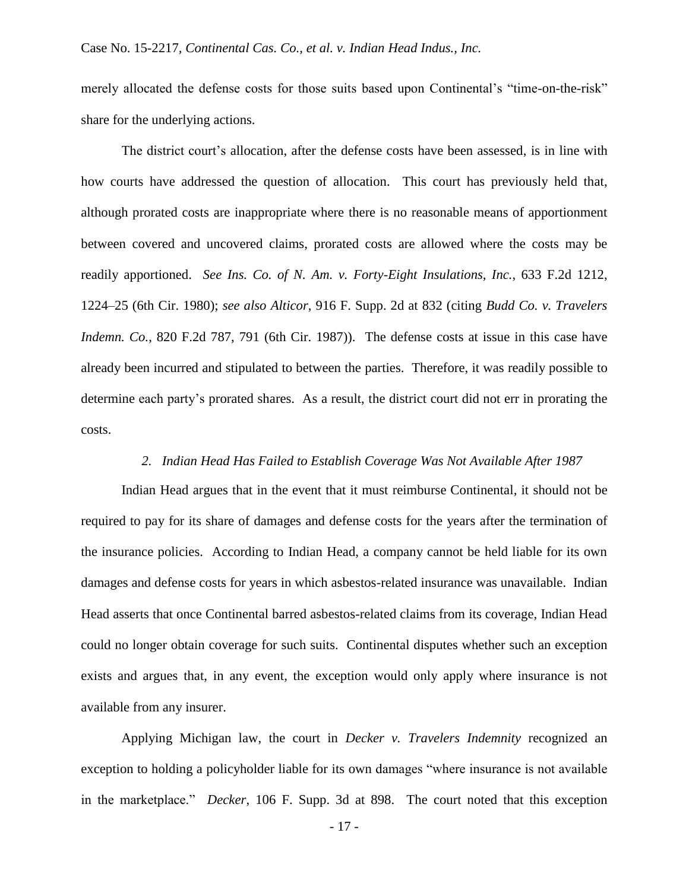merely allocated the defense costs for those suits based upon Continental's "time-on-the-risk" share for the underlying actions.

The district court's allocation, after the defense costs have been assessed, is in line with how courts have addressed the question of allocation. This court has previously held that, although prorated costs are inappropriate where there is no reasonable means of apportionment between covered and uncovered claims, prorated costs are allowed where the costs may be readily apportioned. *See Ins. Co. of N. Am. v. Forty-Eight Insulations, Inc.*, 633 F.2d 1212, 1224–25 (6th Cir. 1980); *see also Alticor*, 916 F. Supp. 2d at 832 (citing *Budd Co. v. Travelers Indemn. Co.*, 820 F.2d 787, 791 (6th Cir. 1987)). The defense costs at issue in this case have already been incurred and stipulated to between the parties. Therefore, it was readily possible to determine each party's prorated shares. As a result, the district court did not err in prorating the costs.

## *2. Indian Head Has Failed to Establish Coverage Was Not Available After 1987*

Indian Head argues that in the event that it must reimburse Continental, it should not be required to pay for its share of damages and defense costs for the years after the termination of the insurance policies. According to Indian Head, a company cannot be held liable for its own damages and defense costs for years in which asbestos-related insurance was unavailable. Indian Head asserts that once Continental barred asbestos-related claims from its coverage, Indian Head could no longer obtain coverage for such suits. Continental disputes whether such an exception exists and argues that, in any event, the exception would only apply where insurance is not available from any insurer.

Applying Michigan law, the court in *Decker v. Travelers Indemnity* recognized an exception to holding a policyholder liable for its own damages "where insurance is not available in the marketplace." *Decker*, 106 F. Supp. 3d at 898. The court noted that this exception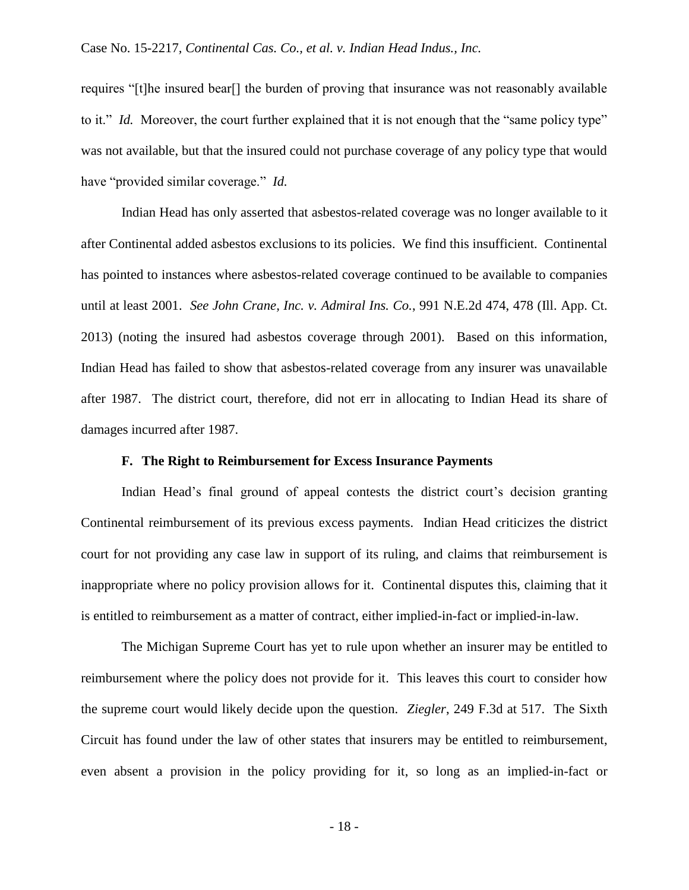requires "[t]he insured bear[] the burden of proving that insurance was not reasonably available to it." *Id.* Moreover, the court further explained that it is not enough that the "same policy type" was not available, but that the insured could not purchase coverage of any policy type that would have "provided similar coverage." *Id.* 

Indian Head has only asserted that asbestos-related coverage was no longer available to it after Continental added asbestos exclusions to its policies. We find this insufficient. Continental has pointed to instances where asbestos-related coverage continued to be available to companies until at least 2001. *See John Crane, Inc. v. Admiral Ins. Co.*, 991 N.E.2d 474, 478 (Ill. App. Ct. 2013) (noting the insured had asbestos coverage through 2001). Based on this information, Indian Head has failed to show that asbestos-related coverage from any insurer was unavailable after 1987. The district court, therefore, did not err in allocating to Indian Head its share of damages incurred after 1987.

#### **F. The Right to Reimbursement for Excess Insurance Payments**

Indian Head's final ground of appeal contests the district court's decision granting Continental reimbursement of its previous excess payments. Indian Head criticizes the district court for not providing any case law in support of its ruling, and claims that reimbursement is inappropriate where no policy provision allows for it. Continental disputes this, claiming that it is entitled to reimbursement as a matter of contract, either implied-in-fact or implied-in-law.

The Michigan Supreme Court has yet to rule upon whether an insurer may be entitled to reimbursement where the policy does not provide for it. This leaves this court to consider how the supreme court would likely decide upon the question. *Ziegler*, 249 F.3d at 517. The Sixth Circuit has found under the law of other states that insurers may be entitled to reimbursement, even absent a provision in the policy providing for it, so long as an implied-in-fact or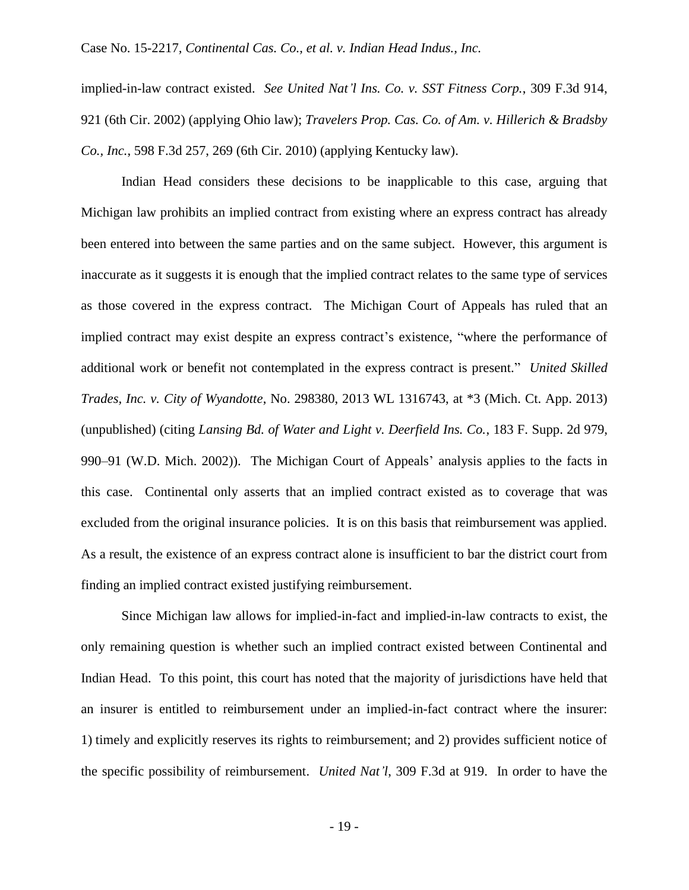implied-in-law contract existed. *See United Nat'l Ins. Co. v. SST Fitness Corp.*, 309 F.3d 914, 921 (6th Cir. 2002) (applying Ohio law); *Travelers Prop. Cas. Co. of Am. v. Hillerich & Bradsby Co., Inc.*, 598 F.3d 257, 269 (6th Cir. 2010) (applying Kentucky law).

Indian Head considers these decisions to be inapplicable to this case, arguing that Michigan law prohibits an implied contract from existing where an express contract has already been entered into between the same parties and on the same subject. However, this argument is inaccurate as it suggests it is enough that the implied contract relates to the same type of services as those covered in the express contract. The Michigan Court of Appeals has ruled that an implied contract may exist despite an express contract's existence, "where the performance of additional work or benefit not contemplated in the express contract is present." *United Skilled Trades, Inc. v. City of Wyandotte*, No. 298380, 2013 WL 1316743, at \*3 (Mich. Ct. App. 2013) (unpublished) (citing *Lansing Bd. of Water and Light v. Deerfield Ins. Co.*, 183 F. Supp. 2d 979, 990–91 (W.D. Mich. 2002)). The Michigan Court of Appeals' analysis applies to the facts in this case. Continental only asserts that an implied contract existed as to coverage that was excluded from the original insurance policies. It is on this basis that reimbursement was applied. As a result, the existence of an express contract alone is insufficient to bar the district court from finding an implied contract existed justifying reimbursement.

Since Michigan law allows for implied-in-fact and implied-in-law contracts to exist, the only remaining question is whether such an implied contract existed between Continental and Indian Head. To this point, this court has noted that the majority of jurisdictions have held that an insurer is entitled to reimbursement under an implied-in-fact contract where the insurer: 1) timely and explicitly reserves its rights to reimbursement; and 2) provides sufficient notice of the specific possibility of reimbursement. *United Nat'l*, 309 F.3d at 919. In order to have the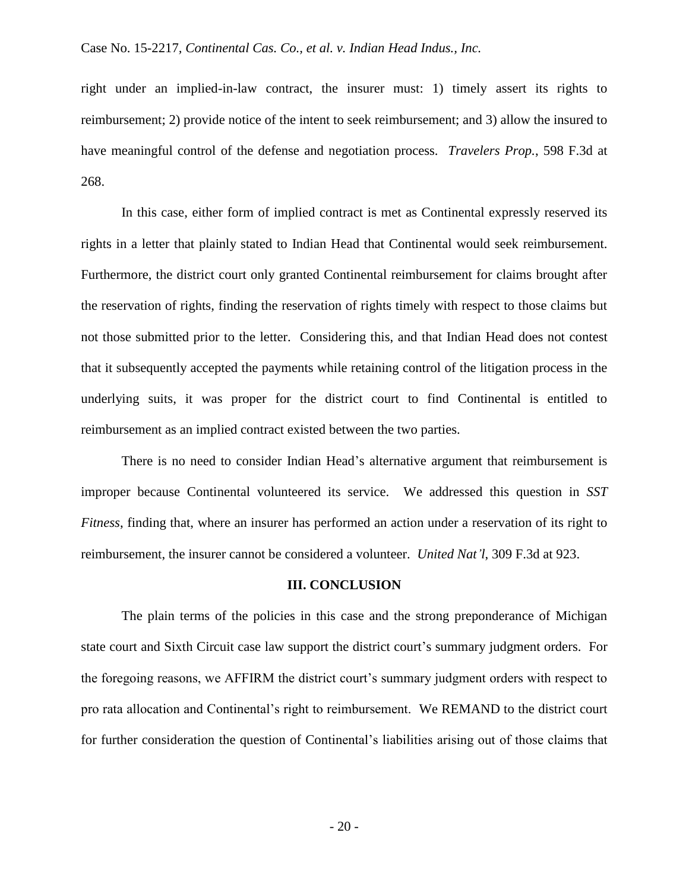right under an implied-in-law contract, the insurer must: 1) timely assert its rights to reimbursement; 2) provide notice of the intent to seek reimbursement; and 3) allow the insured to have meaningful control of the defense and negotiation process. *Travelers Prop.*, 598 F.3d at 268.

In this case, either form of implied contract is met as Continental expressly reserved its rights in a letter that plainly stated to Indian Head that Continental would seek reimbursement. Furthermore, the district court only granted Continental reimbursement for claims brought after the reservation of rights, finding the reservation of rights timely with respect to those claims but not those submitted prior to the letter. Considering this, and that Indian Head does not contest that it subsequently accepted the payments while retaining control of the litigation process in the underlying suits, it was proper for the district court to find Continental is entitled to reimbursement as an implied contract existed between the two parties.

There is no need to consider Indian Head's alternative argument that reimbursement is improper because Continental volunteered its service. We addressed this question in *SST Fitness*, finding that, where an insurer has performed an action under a reservation of its right to reimbursement, the insurer cannot be considered a volunteer. *United Nat'l*, 309 F.3d at 923.

#### **III. CONCLUSION**

The plain terms of the policies in this case and the strong preponderance of Michigan state court and Sixth Circuit case law support the district court's summary judgment orders. For the foregoing reasons, we AFFIRM the district court's summary judgment orders with respect to pro rata allocation and Continental's right to reimbursement. We REMAND to the district court for further consideration the question of Continental's liabilities arising out of those claims that